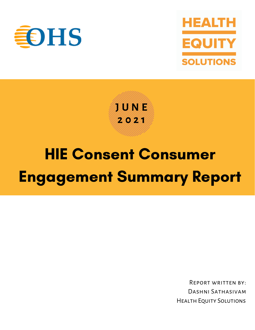



**J U N E 2 0 2 1**

# HIE Consent Consumer Engagement Summary Report

Report written by: Dashni Sathasivam Health Equity Solutions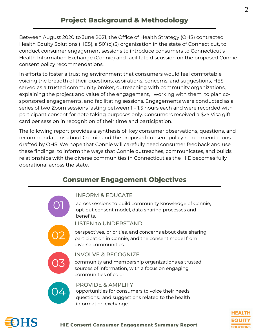## **Project Background & Methodology**

Between August 2020 to June 2021, the Office of Health Strategy (OHS) contracted Health Equity Solutions (HES), a 501(c)(3) organization in the state of Connecticut, to conduct consumer engagement sessions to introduce consumers to Connecticut's Health Information Exchange (Connie) and facilitate discussion on the proposed Connie consent policy recommendations.

In efforts to foster a trusting environment that consumers would feel comfortable voicing the breadth of their questions, aspirations, concerns, and suggestions, HES served as a trusted community broker, outreaching with community organizations, explaining the project and value of the engagement, working with them to plan cosponsored engagements, and facilitating sessions. Engagements were conducted as a series of two Zoom sessions lasting between 1 – 1.5 hours each and were recorded with participant consent for note taking purposes only. Consumers received a \$25 Visa gift card per session in recognition of their time and participation.

The following report provides a synthesis of key consumer observations, questions, and recommendations about Connie and the proposed consent policy recommendations drafted by OHS. We hope that Connie will carefully heed consumer feedback and use these findings to inform the ways that Connie outreaches, communicates, and builds relationships with the diverse communities in Connecticut as the HIE becomes fully operational across the state.

## **Consumer Engagement Objectives**



#### INFORM & EDUCATE

across sessions to build community knowledge of Connie, opt-out consent model, data sharing processes and benefits.

LISTEN to UNDERSTAND



perspectives, priorities, and concerns about data sharing, participation in Connie, and the consent model from diverse communities.



#### INVOLVE & RECOGNIZE

community and membership organizations as trusted sources of information, with a focus on engaging communities of color.



### PROVIDE & AMPLIFY

opportunities for consumers to voice their needs, questions, and suggestions related to the health information exchange.



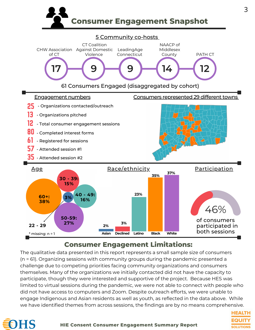

3

**HEALTH EQUITY** 

**SOLUTIONS** 

#### 5 Community co-hosts



## **Consumer Engagement Limitations:**

The qualitative data presented in this report represents a small sample size of consumers (n = 61). Organizing sessions with community groups during the pandemic presented a challenge due to competing priorities facing community organizations and consumers themselves. Many of the organizations we initially contacted did not have the capacity to participate, though they were interested and supportive of the project. Because HES was limited to virtual sessions during the pandemic, we were not able to connect with people who did not have access to computers and Zoom. Despite outreach efforts, we were unable to engage Indigenous and Asian residents as well as youth, as reflected in the data above. While we have identified themes from across sessions, the findings are by no means comprehensive.

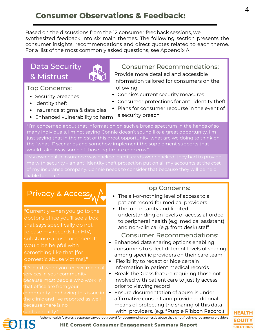# **Consumer Observations & Feedback:**

Based on the discussions from the 12 consumer feedback sessions, we synthesized feedback into six main themes. The following section presents the consumer insights, recommendations and direct quotes related to each theme. For a list of the most commonly asked questions, see Appendix A.

# Data Security & Mistrust

#### Top Concerns:

- Security breaches
- Identity theft
- Insurance stigma & data bias
- Enhanced vulnerability to harm

Consumer Recommendations: Provide more detailed and accessible information tailored for consumers on the following:

- Connie's current security measures
- Consumer protections for anti-identity theft
- Plans for consumer recourse in the event of
- a security breach

"I'm concerned about that information on such a broad spectrum in the hands of so many individuals. I'm not saying Connie doesn't sound like a great opportunity. I'm just saying that in the midst of this great opportunity, what are we doing to think on the "what if" scenarios and somehow implement the supplement supports that would take away some of those legitimate concerns."

liable for that."

# Privacy & Access

"Currently when you go to the doctor's office you'll see a box that says specifically do not release my records for HIV, substance abuse, or others. It would be helpful with something like that [for domestic abuse victims]."

services in your community that office are from your

## Top Concerns:

- The all-or-nothing level of access to a patient record for medical providers
- The uncertainty and limited understanding on levels of access afforded to peripheral health (e.g. medical assistant) and non-clinical (e.g. front desk) staff

#### Consumer Recommendations:

- Enhanced data sharing options enabling consumers to select different levels of sharing among specific providers on their care team
- Flexibility to redact or hide certain information in patient medical records
- Break-the-Glass feature requiring those not involved with patient care to justify access prior to viewing record
- Ensure documentation of abuse is under affirmative consent and provide additional means of protecting the sharing of this data with providers. (e.g. \*Purple Ribbon Record.)

\*athenahealth features a separate carved-out record for documenting domestic abuse that is not freely shared among providers



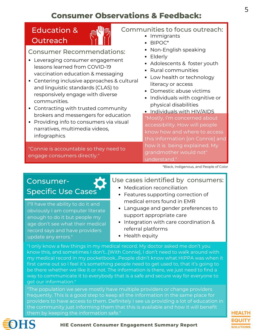# **Consumer Observations & Feedback:**

# Education & **Outreach**



Consumer Recommendations:

- Leveraging consumer engagement lessons learned from COVID-19 vaccination education & messaging
- Centering inclusive approaches & cultural and linguistic standards (CLAS) to responsively engage with diverse communities.
- Contracting with trusted community brokers and messengers for education
- Providing info to consumers via visual narratives, multimedia videos, infographics

"Connie is accountable so they need to engage consumers directly."

## Communities to focus outreach:

- Immigrants
- $\cdot$  BIPOC\*
- Non-English speaking
- Elderly
- Adolescents & foster youth
- Rural communities
- Low health or technology literacy or access
- Domestic abuse victims
- Individuals with cognitive or physical disabilities
- Individuals with HIV/AIDS "Mostly, I'm concerned about accessibility. How will people know how and where to access this information [on Connie] and how it is being explained. My grandmother would not" understand."

\*Black, Indigenous, and People of Color

# Consumer-Specific Use Cases

I''ll have the ability to do it and obviously I am computer literate enough to do it but people my age don't see what their medical record says and have providers update any errors."

## Use cases identified by consumers:

- Medication reconciliation
- Features supporting correction of medical errors found in EMR
- Language and gender preferences to support appropriate care
- Integration with care coordination & referral platforms
- Health equity

"I only know a few things in my medical record. My doctor asked me don't you know this, and sometimes I don't...[With Connie], I don't need to walk around with my medical record in my pocketbook...People didn't know what HIPPA was when it first came out so I feel it's something people need to get used to, that it's going to be there whether we like it or not. The information is there, we just need to find a way to communicate it to everybody that is a safe and secure way for everyone to get our information."

"The population we serve mostly have multiple providers or change providers frequently. This is a good step to keep all the information in the same place for providers to have access to them. Definitely I see us providing a lot of education in the community just informing them that this is available and how it will benefit them by keeping the information safe."



**HIE Consent Consumer Engagement Summary Report**

# **HEALTH SOLUTIONS**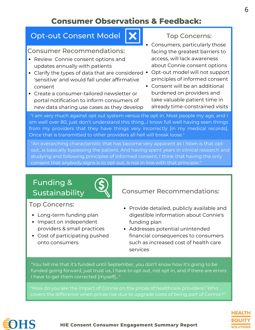# **Consumer Observations & Feedback:**

## Opt-out Consent Model

#### Consumer Recommendations:

- Review Connie consent options and updates annually with patients
- Clarify the types of data that are considered  $\;\bullet\;$  Opt-out model will not support 'sensitive' and would fall under affirmative consent
- Create a consumer-tailored newsletter or portal notification to inform consumers of new data sharing use cases as they develop

### Top Concerns:

- Consumers, particularly those facing the greatest barriers to access, will lack awareness about Connie consent options
- principles of informed consent
- Consent will be an additional burdened on providers and take valuable patient time in already time-constrained visits

"I am very much against opt out system versus the opt in. Most people my age, and I am well over 80, just don't understand this thing...I know full well having seen things from my providers that they have things very incorrectly [in my medical records]. Once that is transmitted to other providers all hell will break loose."

"An overarching characteristic that has become very apparent as I listen is that optout...is basically bypassing the patient. And having spent years in clinical research and studying and following principles of informed consent, I think that having the only consent that anybody signs is to opt out, is not in line with that principle."

# Funding &



Top Concerns:

- Long-term funding plan
- Impact on independent providers & small practices
- Cost of participating pushed onto consumers

## Sustainability  $\left\{\right\}$  Consumer Recommendations:

- Provide detailed, publicly available and digestible information about Connie's funding plan
- Addresses potential unintended financial consequences to consumers such as increased cost of health care services

"You tell me that it's funded until September, you don't know how it's going to be funded going forward, just trust us, I have to opt out, not opt in, and if there are errors I have to get them corrected [myself]..."





6

#### **HIE Consent Consumer Engagement Summary Report**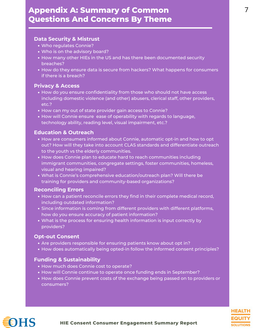## **Appendix A: Summary of Common Questions And Concerns By Theme**

#### **Data Security & Mistrust**

- Who regulates Connie?
- Who is on the advisory board?
- How many other HIEs in the US and has there been documented security breaches?
- How do they ensure data is secure from hackers? What happens for consumers if there is a breach?

#### **Privacy & Access**

- How do you ensure confidentiality from those who should not have access including domestic violence (and other) abusers, clerical staff, other providers, etc.?
- How can my out of state provider gain access to Connie?
- How will Connie ensure ease of operability with regards to language, technology ability, reading level, visual impairment, etc.?

#### **Education & Outreach**

- How are consumers informed about Connie, automatic opt-in and how to opt out? How will they take into account CLAS standards and differentiate outreach to the youth vs the elderly communities.
- How does Connie plan to educate hard to reach communities including immigrant communities, congregate settings, foster communities, homeless, visual and hearing impaired?
- What is Connie's comprehensive education/outreach plan? Will there be training for providers and community-based organizations?

#### **Reconciling Errors**

- How can a patient reconcile errors they find in their complete medical record, including outdated information?
- Since information is coming from different providers with different platforms, how do you ensure accuracy of patient information?
- What is the process for ensuring health information is input correctly by providers?

#### **Opt-out Consent**

- Are providers responsible for ensuring patients know about opt in?
- How does automatically being opted-in follow the informed consent principles?

#### **Funding & Sustainability**

- How much does Connie cost to operate?
- How will Connie continue to operate once funding ends in September?
- How does Connie prevent costs of the exchange being passed on to providers or consumers?